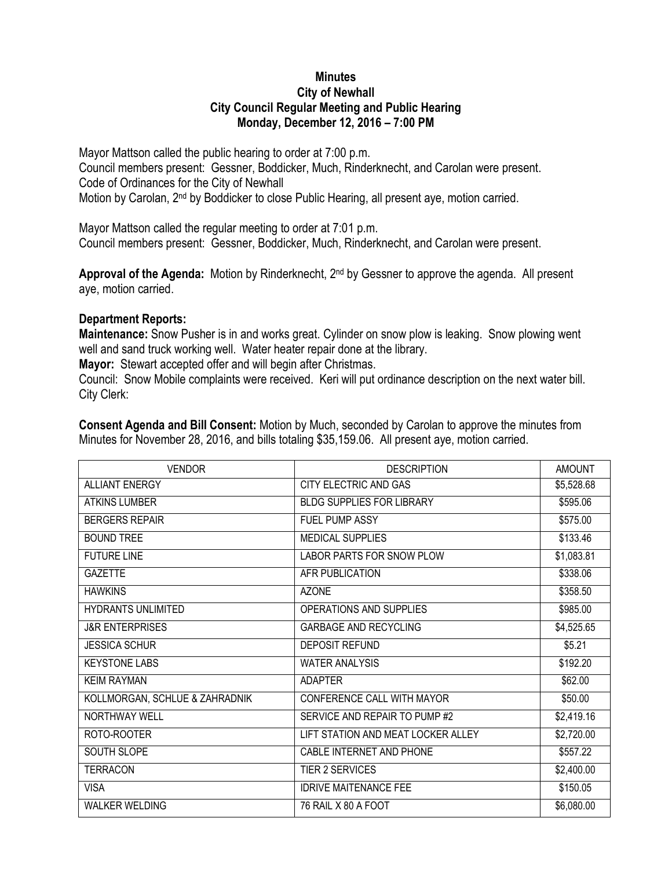## **Minutes City of Newhall City Council Regular Meeting and Public Hearing Monday, December 12, 2016 – 7:00 PM**

Mayor Mattson called the public hearing to order at 7:00 p.m. Council members present: Gessner, Boddicker, Much, Rinderknecht, and Carolan were present. Code of Ordinances for the City of Newhall Motion by Carolan, 2<sup>nd</sup> by Boddicker to close Public Hearing, all present aye, motion carried.

Mayor Mattson called the regular meeting to order at 7:01 p.m. Council members present: Gessner, Boddicker, Much, Rinderknecht, and Carolan were present.

**Approval of the Agenda:** Motion by Rinderknecht, 2nd by Gessner to approve the agenda. All present aye, motion carried.

## **Department Reports:**

**Maintenance:** Snow Pusher is in and works great. Cylinder on snow plow is leaking. Snow plowing went well and sand truck working well. Water heater repair done at the library.

**Mayor:** Stewart accepted offer and will begin after Christmas.

Council: Snow Mobile complaints were received. Keri will put ordinance description on the next water bill. City Clerk:

| <b>VENDOR</b>                  | <b>DESCRIPTION</b>                 | <b>AMOUNT</b> |
|--------------------------------|------------------------------------|---------------|
| <b>ALLIANT ENERGY</b>          | CITY ELECTRIC AND GAS              | \$5,528.68    |
| <b>ATKINS LUMBER</b>           | <b>BLDG SUPPLIES FOR LIBRARY</b>   | \$595.06      |
| <b>BERGERS REPAIR</b>          | FUEL PUMP ASSY                     | \$575.00      |
| <b>BOUND TREE</b>              | MEDICAL SUPPLIES                   | \$133.46      |
| <b>FUTURE LINE</b>             | LABOR PARTS FOR SNOW PLOW          | \$1,083.81    |
| <b>GAZETTE</b>                 | AFR PUBLICATION                    | \$338.06      |
| <b>HAWKINS</b>                 | <b>AZONE</b>                       | \$358.50      |
| <b>HYDRANTS UNLIMITED</b>      | OPERATIONS AND SUPPLIES            | \$985.00      |
| <b>J&amp;R ENTERPRISES</b>     | <b>GARBAGE AND RECYCLING</b>       | \$4,525.65    |
| <b>JESSICA SCHUR</b>           | DEPOSIT REFUND                     | \$5.21        |
| <b>KEYSTONE LABS</b>           | <b>WATER ANALYSIS</b>              | \$192.20      |
| <b>KEIM RAYMAN</b>             | <b>ADAPTER</b>                     | \$62.00       |
| KOLLMORGAN, SCHLUE & ZAHRADNIK | CONFERENCE CALL WITH MAYOR         | \$50.00       |
| <b>NORTHWAY WELL</b>           | SERVICE AND REPAIR TO PUMP #2      | \$2,419.16    |
| ROTO-ROOTER                    | LIFT STATION AND MEAT LOCKER ALLEY | \$2,720.00    |
| SOUTH SLOPE                    | CABLE INTERNET AND PHONE           | \$557.22      |
| <b>TERRACON</b>                | <b>TIER 2 SERVICES</b>             | \$2,400.00    |
| <b>VISA</b>                    | <b>IDRIVE MAITENANCE FEE</b>       | \$150.05      |
| <b>WALKER WELDING</b>          | 76 RAIL X 80 A FOOT                | \$6,080.00    |

**Consent Agenda and Bill Consent:** Motion by Much, seconded by Carolan to approve the minutes from Minutes for November 28, 2016, and bills totaling \$35,159.06. All present aye, motion carried.